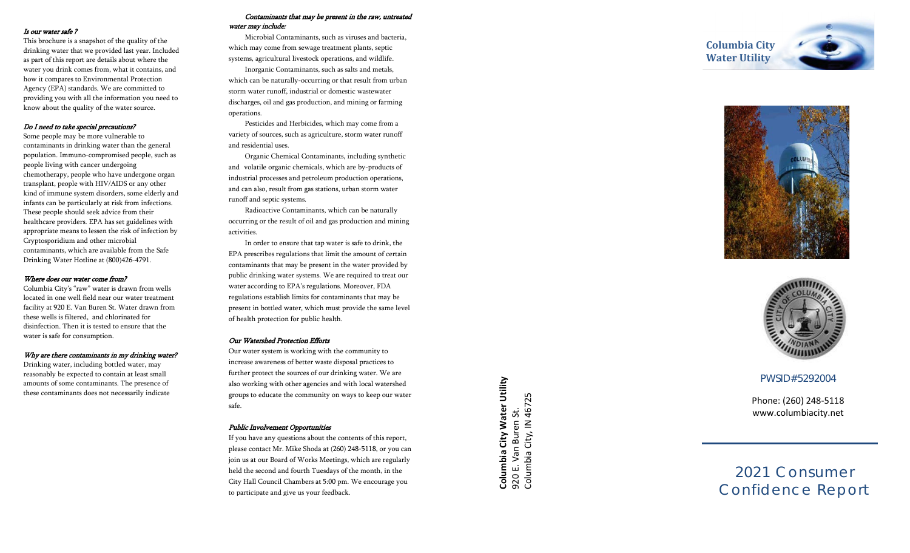#### Is our water safe ?

This brochure is a snapshot of the quality of the drinking water that we provided last year. Included as part of this report are details about where the water you drink comes from, what it contains, and how it compares to Environmental Protection Agency (EPA) standards. We are committed to providing you with all the information you need to know about the quality of the water source.

### Do I need to take special precautions?

Some people may be more vulnerable to contaminants in drinking water than the general population. Immuno -compromised people, such as people living with cancer undergoing chemotherapy, people who have undergone organ transplant, people with HIV/AIDS or any other kind of immune system disorders, some elderly and infants can be particularly at risk from infections. These people should seek advice from their healthcare providers. EPA has set guidelines with appropriate means to lessen the risk of infection by Cryptosporidium and other microbial contaminants, which are available from the Safe Drinking Water Hotline at (800)426 -4791.

#### Where does our water come from?

Columbia City's "raw" water is drawn from wells located in one well field near our water treatment facility at 920 E. Van Buren St . Water drawn from these wells is filtered, and chlorinated for disinfection. Then it is tested to ensure that the water is safe for consumption.

### Why are there contaminants in my drinking water?

Drinking water, including bottled water, may reasonably be expected to contain at least small amounts of some contaminants. The presence of these contaminants does not necessarily indicate

### Contaminants that may be present in the raw, untreated water may include:

Microbial Contaminants, such as viruses and bacteria, which may come from sewage treatment plants, septic systems, agricultural livestock operations, and wildlife.

Inorganic Contaminants, such as salts and metals, which can be naturally -occurring or that result from urban storm water runoff, industrial or domestic wastewater discharges, oil and gas production, and mining or farming operations.

Pesticides and Herbicides, which may come from a variety of sources, such as agriculture, storm water runoff and residential uses.

Organic Chemical Contaminants, including synthetic and volatile organic chemicals, which are by -products of industrial processes and petroleum production operations, and can also, result from gas stations, urban storm water runoff and septic systems.

Radioactive Contaminants, which can be naturally occurring or the result of oil and gas production and mining activities.

In order to ensure that tap water is safe to drink, the EPA prescribes regulations that limit the amount of certain contaminants that may be present in the water provided by public drinking water systems. We are required to treat our water according to EPA's regulations. Moreover, FDA regulations establish limits for contaminants that may be present in bottled water, which must provide the same level of health protection for public health.

### Our Watershed Protection Efforts

Our water system is working with the community to increase awareness of better waste disposal practices to further protect the sources of our drinking water. We are also working with other agencies and with local watershed groups to educate the community on ways to keep our water safe.

### Public Involvement Opportunities

If you have any questions about the contents of this report, please contact Mr. Mike Shoda at (260) 248 -5118, or you can join us at our Board of Works Meetings, which are regularly held the second and fourth Tuesdays of the month, in the City Hall Council Chambers at 5:00 pm. We encourage you to participate and give us your feedback.

**Columbia City Water Utility**





## PWSID#5292004

Phone: (260) 248 -5118 www.columbiacity.net

2021 Consumer Confidence Report

**Columbia City Water Utility**<br>920 E. Van Buren St.<br>Columbia City, IN 46725 **Columbia City Water Utility** Columbia City, IN 46725 920 E. Van Buren St.